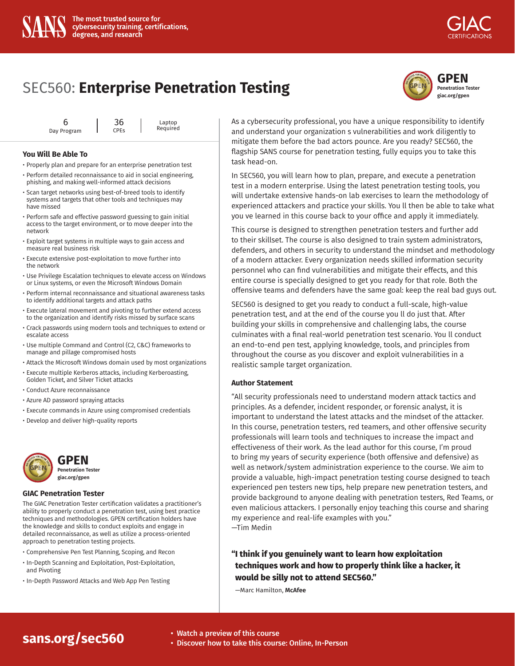## **[GPEN](https://www.giac.org/gpen) Penetration Tester giac.org/gpen**

|             | 36                     |  | Laptop<br>Required |
|-------------|------------------------|--|--------------------|
| Day Program | <b>CPE<sub>S</sub></b> |  |                    |

#### **You Will Be Able To**

- Properly plan and prepare for an enterprise penetration test
- Perform detailed reconnaissance to aid in social engineering, phishing, and making well-informed attack decisions
- Scan target networks using best-of-breed tools to identify systems and targets that other tools and techniques may have missed
- Perform safe and effective password guessing to gain initial access to the target environment, or to move deeper into the network
- Exploit target systems in multiple ways to gain access and measure real business risk
- Execute extensive post-exploitation to move further into the network
- Use Privilege Escalation techniques to elevate access on Windows or Linux systems, or even the Microsoft Windows Domain
- Perform internal reconnaissance and situational awareness tasks to identify additional targets and attack paths
- Execute lateral movement and pivoting to further extend access to the organization and identify risks missed by surface scans
- Crack passwords using modern tools and techniques to extend or escalate access
- Use multiple Command and Control (C2, C&C) frameworks to manage and pillage compromised hosts
- Attack the Microsoft Windows domain used by most organizations
- Execute multiple Kerberos attacks, including Kerberoasting, Golden Ticket, and Silver Ticket attacks
- Conduct Azure reconnaissance
- Azure AD password spraying attacks
- Execute commands in Azure using compromised credentials
- Develop and deliver high-quality reports



#### **GIAC Penetration Tester**

The GIAC Penetration Tester certification validates a practitioner's ability to properly conduct a penetration test, using best practice techniques and methodologies. GPEN certification holders have the knowledge and skills to conduct exploits and engage in detailed reconnaissance, as well as utilize a process-oriented approach to penetration testing projects.

- Comprehensive Pen Test Planning, Scoping, and Recon
- In-Depth Scanning and Exploitation, Post-Exploitation, and Pivoting
- In-Depth Password Attacks and Web App Pen Testing

As a cybersecurity professional, you have a unique responsibility to identify and understand your organization s vulnerabilities and work diligently to mitigate them before the bad actors pounce. Are you ready? SEC560, the flagship SANS course for penetration testing, fully equips you to take this task head-on.

In SEC560, you will learn how to plan, prepare, and execute a penetration test in a modern enterprise. Using the latest penetration testing tools, you will undertake extensive hands-on lab exercises to learn the methodology of experienced attackers and practice your skills. You ll then be able to take what you ve learned in this course back to your office and apply it immediately.

This course is designed to strengthen penetration testers and further add to their skillset. The course is also designed to train system administrators, defenders, and others in security to understand the mindset and methodology of a modern attacker. Every organization needs skilled information security personnel who can find vulnerabilities and mitigate their effects, and this entire course is specially designed to get you ready for that role. Both the offensive teams and defenders have the same goal: keep the real bad guys out.

SEC560 is designed to get you ready to conduct a full-scale, high-value penetration test, and at the end of the course you ll do just that. After building your skills in comprehensive and challenging labs, the course culminates with a final real-world penetration test scenario. You ll conduct an end-to-end pen test, applying knowledge, tools, and principles from throughout the course as you discover and exploit vulnerabilities in a realistic sample target organization.

#### **Author Statement**

"All security professionals need to understand modern attack tactics and principles. As a defender, incident responder, or forensic analyst, it is important to understand the latest attacks and the mindset of the attacker. In this course, penetration testers, red teamers, and other offensive security professionals will learn tools and techniques to increase the impact and effectiveness of their work. As the lead author for this course, I'm proud to bring my years of security experience (both offensive and defensive) as well as network/system administration experience to the course. We aim to provide a valuable, high-impact penetration testing course designed to teach experienced pen testers new tips, help prepare new penetration testers, and provide background to anyone dealing with penetration testers, Red Teams, or even malicious attackers. I personally enjoy teaching this course and sharing my experience and real-life examples with you." —Tim Medin

## **"I think if you genuinely want to learn how exploitation techniques work and how to properly think like a hacker, it would be silly not to attend SEC560."**

—Marc Hamilton, **McAfee**

# **[sans.org/sec560](https://www.sans.org/cyber-security-courses/network-penetration-testing-ethical-hacking/)** • Watch a preview of this course

- 
- Discover how to take this course: Online, In-Person